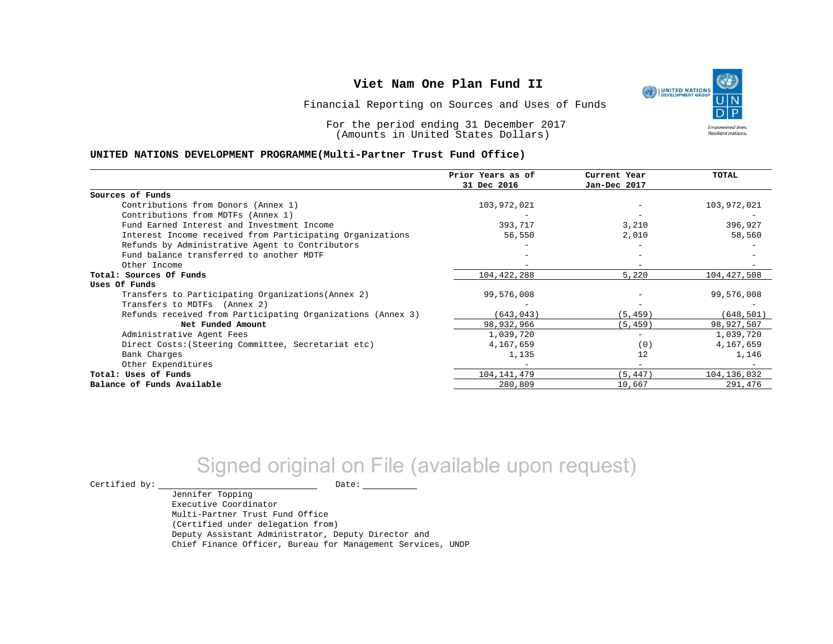١ UNITED NATIONS **Empowered lives** Resilient nations.

Financial Reporting on Sources and Uses of Funds

For the period ending 31 December 2017 (Amounts in United States Dollars)

#### **UNITED NATIONS DEVELOPMENT PROGRAMME(Multi-Partner Trust Fund Office)**

|                                                             | Prior Years as of | Current Year             | TOTAL       |
|-------------------------------------------------------------|-------------------|--------------------------|-------------|
|                                                             | 31 Dec 2016       | Jan-Dec 2017             |             |
| Sources of Funds                                            |                   |                          |             |
| Contributions from Donors (Annex 1)                         | 103,972,021       |                          | 103,972,021 |
| Contributions from MDTFs (Annex 1)                          |                   |                          |             |
| Fund Earned Interest and Investment Income                  | 393,717           | 3,210                    | 396,927     |
| Interest Income received from Participating Organizations   | 56,550            | 2,010                    | 58,560      |
| Refunds by Administrative Agent to Contributors             |                   |                          |             |
| Fund balance transferred to another MDTF                    |                   |                          |             |
| Other Income                                                |                   |                          |             |
| Total: Sources Of Funds                                     | 104,422,288       | 5,220                    | 104,427,508 |
| Uses Of Funds                                               |                   |                          |             |
| Transfers to Participating Organizations (Annex 2)          | 99,576,008        |                          | 99,576,008  |
| Transfers to MDTFs (Annex 2)                                |                   |                          |             |
| Refunds received from Participating Organizations (Annex 3) | (643, 043)        | (5, 459)                 | (648, 501)  |
| Net Funded Amount                                           | 98, 932, 966      | (5, 459)                 | 98,927,507  |
| Administrative Agent Fees                                   | 1,039,720         | $\overline{\phantom{0}}$ | 1,039,720   |
| Direct Costs: (Steering Committee, Secretariat etc)         | 4,167,659         | (0)                      | 4,167,659   |
| Bank Charges                                                | 1,135             | 12                       | 1,146       |
| Other Expenditures                                          |                   |                          |             |
| Total: Uses of Funds                                        | 104, 141, 479     | (5, 447)                 | 104,136,032 |
| Balance of Funds Available                                  | 280,809           | 10,667                   | 291,476     |

# Signed original on File (available upon request)

 $\begin{picture}(180,180)(0,0) \put(0,0){\vector(1,0){180}} \put(15,0){\vector(1,0){180}} \put(15,0){\vector(1,0){180}} \put(15,0){\vector(1,0){180}} \put(15,0){\vector(1,0){180}} \put(15,0){\vector(1,0){180}} \put(15,0){\vector(1,0){180}} \put(15,0){\vector(1,0){180}} \put(15,0){\vector(1,0){180}} \put(15,0){\vector(1,0){180}} \put(15,0){\vector(1,0$ 

Jennifer Topping Executive Coordinator Multi-Partner Trust Fund Office (Certified under delegation from) Deputy Assistant Administrator, Deputy Director and Chief Finance Officer, Bureau for Management Services, UNDP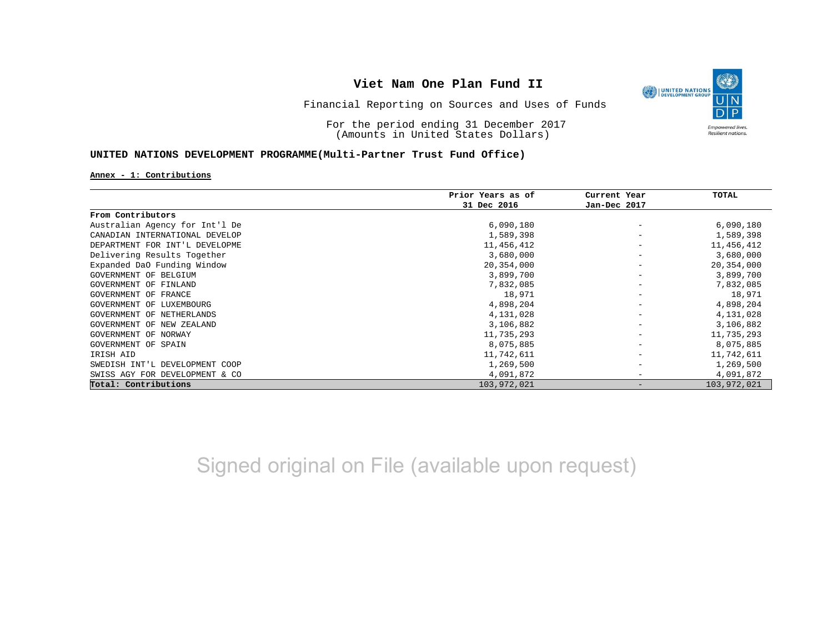

Financial Reporting on Sources and Uses of Funds

For the period ending 31 December 2017 (Amounts in United States Dollars)

### **UNITED NATIONS DEVELOPMENT PROGRAMME(Multi-Partner Trust Fund Office)**

#### **Annex - 1: Contributions**

|                                | Prior Years as of | Current Year | TOTAL       |
|--------------------------------|-------------------|--------------|-------------|
|                                | 31 Dec 2016       | Jan-Dec 2017 |             |
| From Contributors              |                   |              |             |
| Australian Agency for Int'l De | 6,090,180         |              | 6,090,180   |
| CANADIAN INTERNATIONAL DEVELOP | 1,589,398         |              | 1,589,398   |
| DEPARTMENT FOR INT'L DEVELOPME | 11,456,412        |              | 11,456,412  |
| Delivering Results Together    | 3,680,000         |              | 3,680,000   |
| Expanded DaO Funding Window    | 20,354,000        |              | 20,354,000  |
| GOVERNMENT OF BELGIUM          | 3,899,700         |              | 3,899,700   |
| GOVERNMENT OF FINLAND          | 7,832,085         |              | 7,832,085   |
| GOVERNMENT OF FRANCE           | 18,971            |              | 18,971      |
| GOVERNMENT OF LUXEMBOURG       | 4,898,204         |              | 4,898,204   |
| GOVERNMENT OF NETHERLANDS      | 4,131,028         |              | 4,131,028   |
| GOVERNMENT OF NEW ZEALAND      | 3,106,882         |              | 3,106,882   |
| GOVERNMENT OF NORWAY           | 11,735,293        |              | 11,735,293  |
| GOVERNMENT OF SPAIN            | 8,075,885         |              | 8,075,885   |
| IRISH AID                      | 11,742,611        |              | 11,742,611  |
| SWEDISH INT'L DEVELOPMENT COOP | 1,269,500         |              | 1,269,500   |
| SWISS AGY FOR DEVELOPMENT & CO | 4,091,872         |              | 4,091,872   |
| Total: Contributions           | 103,972,021       |              | 103,972,021 |

Signed original on File (available upon request)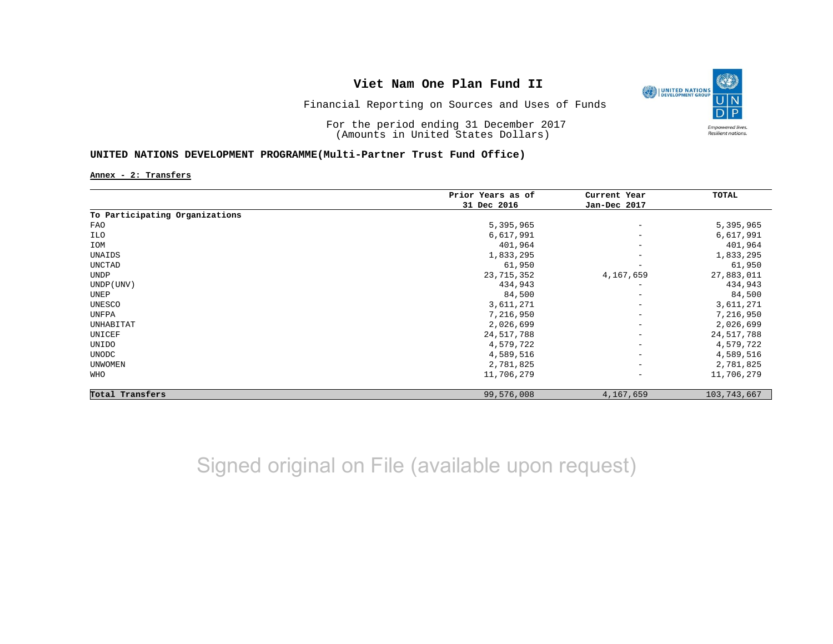

Financial Reporting on Sources and Uses of Funds

For the period ending 31 December 2017 (Amounts in United States Dollars)

### **UNITED NATIONS DEVELOPMENT PROGRAMME(Multi-Partner Trust Fund Office)**

**Annex - 2: Transfers**

|                                | Prior Years as of | Current Year             | TOTAL         |
|--------------------------------|-------------------|--------------------------|---------------|
|                                | 31 Dec 2016       | Jan-Dec 2017             |               |
| To Participating Organizations |                   |                          |               |
| FAO                            | 5,395,965         | $\qquad \qquad -$        | 5,395,965     |
| ILO                            | 6,617,991         | $\overline{\phantom{m}}$ | 6,617,991     |
| IOM                            | 401,964           | $\overline{\phantom{m}}$ | 401,964       |
| UNAIDS                         | 1,833,295         | $\qquad \qquad -$        | 1,833,295     |
| UNCTAD                         | 61,950            | $\qquad \qquad -$        | 61,950        |
| UNDP                           | 23, 715, 352      | 4,167,659                | 27,883,011    |
| UNDP (UNV)                     | 434,943           | $\overline{\phantom{a}}$ | 434,943       |
| UNEP                           | 84,500            | $\overline{\phantom{m}}$ | 84,500        |
| UNESCO                         | 3,611,271         | $\overline{\phantom{m}}$ | 3,611,271     |
| UNFPA                          | 7,216,950         | $\overline{\phantom{m}}$ | 7,216,950     |
| UNHABITAT                      | 2,026,699         | $\overline{\phantom{a}}$ | 2,026,699     |
| UNICEF                         | 24,517,788        | $\overline{\phantom{a}}$ | 24, 517, 788  |
| UNIDO                          | 4,579,722         | $\overline{\phantom{a}}$ | 4,579,722     |
| UNODC                          | 4,589,516         | $\overline{\phantom{m}}$ | 4,589,516     |
| <b>UNWOMEN</b>                 | 2,781,825         | $\overline{\phantom{a}}$ | 2,781,825     |
| WHO                            | 11,706,279        | $\overline{\phantom{a}}$ | 11,706,279    |
| Total Transfers                | 99,576,008        | 4,167,659                | 103, 743, 667 |

Signed original on File (available upon request)